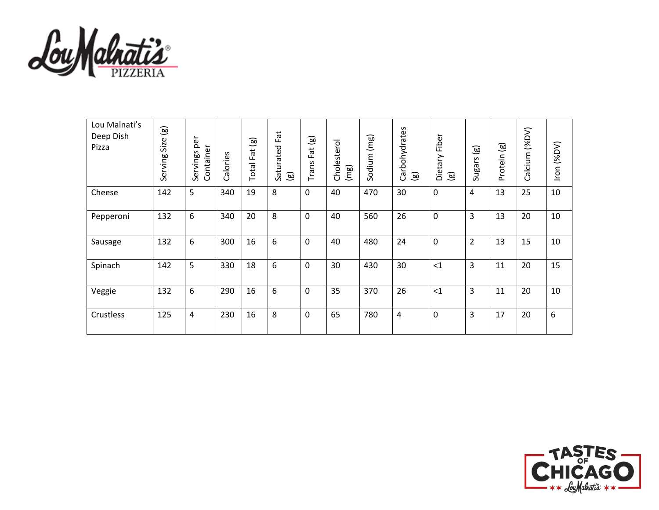

| Lou Malnati's<br>Deep Dish<br>Pizza | $\circledB$<br>Size<br>Serving | per<br>Container<br>Servings | Calories | $\circledg$<br>Fat<br>Total | Fat<br>Saturated<br>$\circledB$ | ම<br>Fat<br>Trans | Cholesterol<br>(mg) | Sodium (mg) | Carbohydrates<br>ම | Fiber<br>Dietary<br>මු | $\textcircled{\scriptsize{s}}$<br>Sugars | Protein (g) | $(VQ\%)$<br>Calcium | Iron (%DV) |
|-------------------------------------|--------------------------------|------------------------------|----------|-----------------------------|---------------------------------|-------------------|---------------------|-------------|--------------------|------------------------|------------------------------------------|-------------|---------------------|------------|
| Cheese                              | 142                            | 5                            | 340      | 19                          | 8                               | 0                 | 40                  | 470         | 30                 | $\mathbf 0$            | 4                                        | 13          | 25                  | 10         |
| Pepperoni                           | 132                            | 6                            | 340      | 20                          | 8                               | $\mathbf 0$       | 40                  | 560         | 26                 | $\mathbf 0$            | 3                                        | 13          | 20                  | 10         |
| Sausage                             | 132                            | 6                            | 300      | 16                          | 6                               | $\mathbf 0$       | 40                  | 480         | 24                 | $\mathbf 0$            | $\overline{2}$                           | 13          | 15                  | 10         |
| Spinach                             | 142                            | 5                            | 330      | 18                          | 6                               | 0                 | 30                  | 430         | 30                 | $<$ 1                  | 3                                        | 11          | 20                  | 15         |
| Veggie                              | 132                            | 6                            | 290      | 16                          | 6                               | $\mathbf 0$       | 35                  | 370         | 26                 | $<$ 1                  | 3                                        | 11          | 20                  | 10         |
| Crustless                           | 125                            | 4                            | 230      | 16                          | 8                               | $\mathbf 0$       | 65                  | 780         | 4                  | $\mathbf 0$            | 3                                        | 17          | 20                  | 6          |

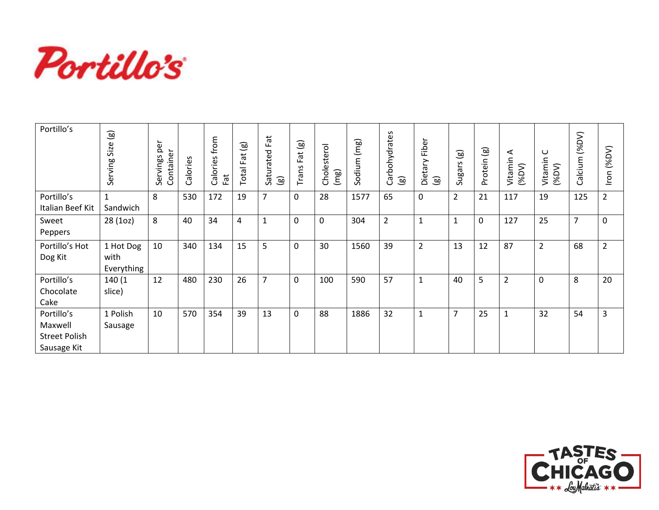

| Portillo's                                                   | $\circledB$<br>Size<br>Serving  | per<br>Container<br>Servings | alories<br>ပ | from<br>alories<br>Fat<br>$\cup$ | ම<br>Fat<br>Total | Fat<br>Saturated<br>$\circledg$ | $\textcircled{\scriptsize{s}}$<br>$\vec{a}$<br>$\mathbf{u}$<br>Trans | sterol<br>Choles<br>(mg) | (mg)<br>Sodium | Carbohydrates<br>$\circledB$ | Fiber<br>Dietary<br>$\textcircled{\scriptsize{1}}$ | $\circledg$<br><b>Sugars</b> | ම<br>Protein | ⋖<br>Vitamin<br>(96DV) | ပ<br>Vitamin<br>(96DV) | (96DV)<br>Calcium | (96DV)<br>Iron |
|--------------------------------------------------------------|---------------------------------|------------------------------|--------------|----------------------------------|-------------------|---------------------------------|----------------------------------------------------------------------|--------------------------|----------------|------------------------------|----------------------------------------------------|------------------------------|--------------|------------------------|------------------------|-------------------|----------------|
| Portillo's<br>Italian Beef Kit                               | Sandwich                        | 8                            | 530          | 172                              | 19                | $\overline{7}$                  | $\mathbf 0$                                                          | 28                       | 1577           | 65                           | 0                                                  | $\overline{2}$               | 21           | 117                    | 19                     | 125               | $\overline{2}$ |
| Sweet<br>Peppers                                             | 28 (1oz)                        | 8                            | 40           | 34                               | 4                 | $\mathbf{1}$                    | $\mathbf 0$                                                          | 0                        | 304            | $\overline{2}$               | 1                                                  | $\mathbf{1}$                 | 0            | 127                    | 25                     | $\overline{7}$    | $\mathbf 0$    |
| Portillo's Hot<br>Dog Kit                                    | 1 Hot Dog<br>with<br>Everything | 10                           | 340          | 134                              | 15                | 5                               | $\mathbf{0}$                                                         | 30                       | 1560           | 39                           | $\overline{2}$                                     | 13                           | 12           | 87                     | $\overline{2}$         | 68                | $\overline{2}$ |
| Portillo's<br>Chocolate<br>Cake                              | 140 (1<br>slice)                | 12                           | 480          | 230                              | 26                | $\overline{7}$                  | $\Omega$                                                             | 100                      | 590            | 57                           | $\mathbf{1}$                                       | 40                           | 5            | $\overline{2}$         | $\Omega$               | 8                 | 20             |
| Portillo's<br>Maxwell<br><b>Street Polish</b><br>Sausage Kit | 1 Polish<br>Sausage             | 10                           | 570          | 354                              | 39                | 13                              | $\mathbf 0$                                                          | 88                       | 1886           | 32                           | $\mathbf{1}$                                       | $\overline{7}$               | 25           | $\mathbf{1}$           | 32                     | 54                | 3              |

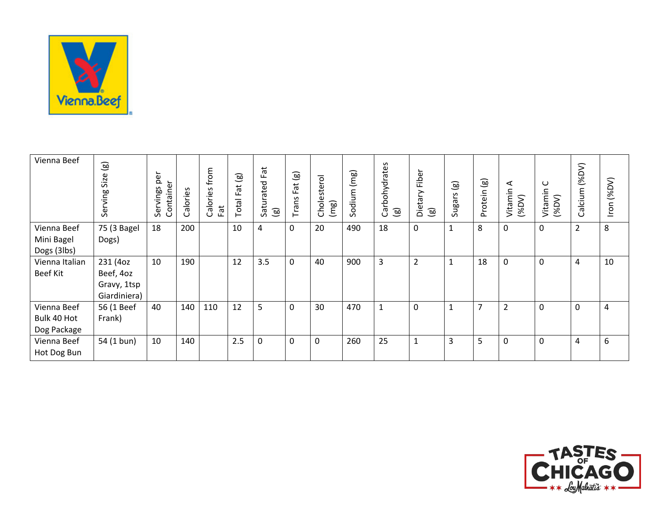

| Vienna Beef                               | $\textcircled{\scriptsize{1}}$<br>Size<br>Serving    | per<br>Container<br>Servings | Calories | from<br>Calories<br>Fat | Fat(g)<br>Total | Fat<br>Saturated<br>$\circledR$ | $\textcircled{\scriptsize{s}}$<br>ä<br>щ<br>Trans | Cholesterol<br>(mg) | Sodium (mg) | Carbohydrates<br>$\textcircled{\scriptsize{s}}$ | Fiber<br>Dietary<br>$\circledcirc$ | $\circledB$<br>Sugars | $\overline{g}$<br>Protein | ⋖<br>Vitamin<br>(96DV) | ပ<br>Vitamin<br>(96DV) | (96DV)<br>Calcium | Iron (%DV) |
|-------------------------------------------|------------------------------------------------------|------------------------------|----------|-------------------------|-----------------|---------------------------------|---------------------------------------------------|---------------------|-------------|-------------------------------------------------|------------------------------------|-----------------------|---------------------------|------------------------|------------------------|-------------------|------------|
| Vienna Beef<br>Mini Bagel<br>Dogs (3lbs)  | 75 (3 Bagel<br>Dogs)                                 | 18                           | 200      |                         | 10              | 4                               | 0                                                 | 20                  | 490         | 18                                              | 0                                  | $\mathbf{1}$          | 8                         | $\mathbf 0$            | $\mathbf 0$            | $\overline{2}$    | 8          |
| Vienna Italian<br><b>Beef Kit</b>         | 231 (4oz<br>Beef, 4oz<br>Gravy, 1tsp<br>Giardiniera) | 10                           | 190      |                         | 12              | 3.5                             | $\mathbf 0$                                       | 40                  | 900         | 3                                               | $\overline{2}$                     | $\mathbf{1}$          | 18                        | $\boldsymbol{0}$       | $\pmb{0}$              | $\pmb{4}$         | 10         |
| Vienna Beef<br>Bulk 40 Hot<br>Dog Package | 56 (1 Beef<br>Frank)                                 | 40                           | 140      | 110                     | 12              | 5                               | 0                                                 | 30                  | 470         | $\mathbf{1}$                                    | 0                                  | $\mathbf{1}$          | 7                         | $\overline{2}$         | $\mathbf 0$            | $\pmb{0}$         | 4          |
| Vienna Beef<br>Hot Dog Bun                | 54 (1 bun)                                           | 10                           | 140      |                         | 2.5             | $\mathbf 0$                     | $\mathbf 0$                                       | $\mathbf 0$         | 260         | 25                                              | $\mathbf{1}$                       | 3                     | 5                         | $\mathbf 0$            | $\mathbf 0$            | 4                 | 6          |

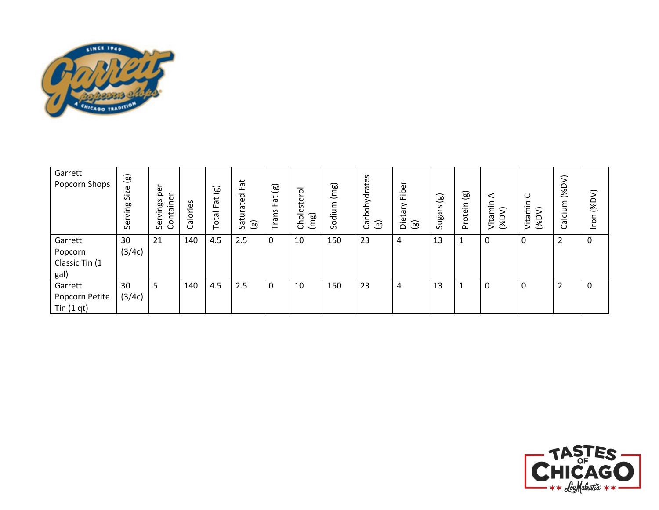

| Garrett<br>Popcorn Shops | $\circledB$<br>Size<br>ving<br>Šēr | ∽<br><u>a</u><br>؎<br>ntaine<br>S<br>စ်<br>Šēr<br>උ | Š9.<br>؎<br>ole | $\circledB$<br>Fat<br>Total | Fat<br>Saturated<br>$\circledB$ | (මූ<br>Fat<br>Trans | Cholestero<br>(mg) | (mg)<br>Sodium | Carbohydrates<br>$\circledast$ | Fibe<br>Ε,<br>ää<br>ම | $\textcircled{\scriptsize{s}}$<br>Sugars | $\circledg$<br>Protein | ⋖<br>c<br>ξĪ<br>$($ %DV $)$<br>Vita | ပ<br>Vitamin<br>$($ %DV $)$ | $($ %DV $)$<br>Calcium | (96DV)<br>Iron |
|--------------------------|------------------------------------|-----------------------------------------------------|-----------------|-----------------------------|---------------------------------|---------------------|--------------------|----------------|--------------------------------|-----------------------|------------------------------------------|------------------------|-------------------------------------|-----------------------------|------------------------|----------------|
| Garrett                  | 30                                 | 21                                                  | 140             | 4.5                         | 2.5                             | 0                   | 10                 | 150            | 23                             | 4                     | 13                                       |                        | 0                                   | 0                           | C                      | $\pmb{0}$      |
| Popcorn                  | (3/4c)                             |                                                     |                 |                             |                                 |                     |                    |                |                                |                       |                                          |                        |                                     |                             |                        |                |
| Classic Tin (1           |                                    |                                                     |                 |                             |                                 |                     |                    |                |                                |                       |                                          |                        |                                     |                             |                        |                |
| gal)                     |                                    |                                                     |                 |                             |                                 |                     |                    |                |                                |                       |                                          |                        |                                     |                             |                        |                |
| Garrett                  | 30                                 | 5                                                   | 140             | 4.5                         | 2.5                             | 0                   | 10                 | 150            | 23                             | 4                     | 13                                       |                        | 0                                   | 0                           | ∍                      | 0              |
| Popcorn Petite           | (3/4c)                             |                                                     |                 |                             |                                 |                     |                    |                |                                |                       |                                          |                        |                                     |                             |                        |                |
| Tin $(1 qt)$             |                                    |                                                     |                 |                             |                                 |                     |                    |                |                                |                       |                                          |                        |                                     |                             |                        |                |

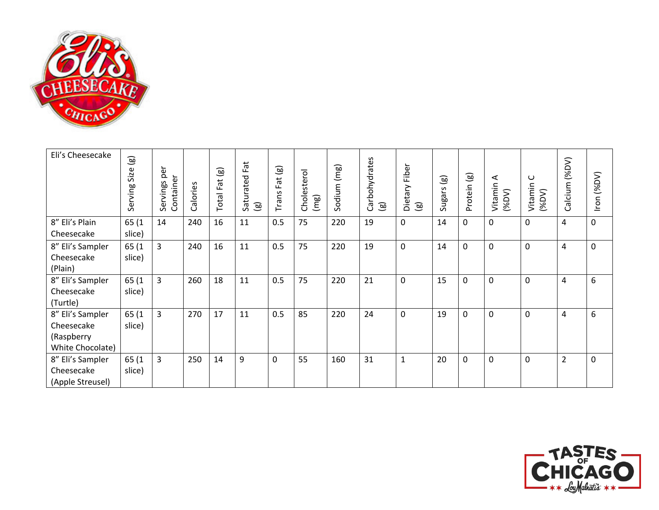

| Eli's Cheesecake                                                 | $\circledast$<br>Size<br>Serving | per<br>Container<br>Servings | Calories | $\circledB$<br>$\vec{a}$<br>ட<br>Total | Fat<br>Saturated<br>$\circledcirc$ | $\circledg$<br>Fat<br>Trans | Cholesterol<br>(mg) | Sodium (mg) | Carbohydrates<br>$\circledcirc$ | Fiber<br>Dietary<br>$\textcircled{\scriptsize{1}}$ | $\circledast$<br>Sugars | ම)<br>Protein | ⋖<br>Vitamin<br>(96DV) | $\cup$<br>Vitamin<br>$($ %DV $)$ | (96DV)<br>Calcium | Iron (%DV) |
|------------------------------------------------------------------|----------------------------------|------------------------------|----------|----------------------------------------|------------------------------------|-----------------------------|---------------------|-------------|---------------------------------|----------------------------------------------------|-------------------------|---------------|------------------------|----------------------------------|-------------------|------------|
| 8" Eli's Plain<br>Cheesecake                                     | 65 (1<br>slice)                  | 14                           | 240      | 16                                     | 11                                 | 0.5                         | 75                  | 220         | 19                              | 0                                                  | 14                      | 0             | 0                      | $\mathbf 0$                      | 4                 | 0          |
| 8" Eli's Sampler<br>Cheesecake<br>(Plain)                        | 65 (1<br>slice)                  | $\overline{3}$               | 240      | 16                                     | 11                                 | 0.5                         | 75                  | 220         | 19                              | $\mathbf 0$                                        | 14                      | 0             | $\mathbf 0$            | $\mathbf 0$                      | 4                 | 0          |
| 8" Eli's Sampler<br>Cheesecake<br>(Turtle)                       | 65 (1<br>slice)                  | $\mathbf{3}$                 | 260      | 18                                     | 11                                 | 0.5                         | 75                  | 220         | 21                              | $\mathbf 0$                                        | 15                      | 0             | 0                      | $\mathbf 0$                      | 4                 | 6          |
| 8" Eli's Sampler<br>Cheesecake<br>(Raspberry<br>White Chocolate) | 65 (1<br>slice)                  | $\overline{3}$               | 270      | 17                                     | 11                                 | 0.5                         | 85                  | 220         | 24                              | $\mathbf 0$                                        | 19                      | 0             | $\mathbf 0$            | $\mathbf 0$                      | 4                 | 6          |
| 8" Eli's Sampler<br>Cheesecake<br>(Apple Streusel)               | 65 (1<br>slice)                  | $\overline{3}$               | 250      | 14                                     | 9                                  | 0                           | 55                  | 160         | 31                              | $\mathbf{1}$                                       | 20                      | 0             | 0                      | $\mathbf 0$                      | $\overline{2}$    | 0          |

![](_page_4_Picture_2.jpeg)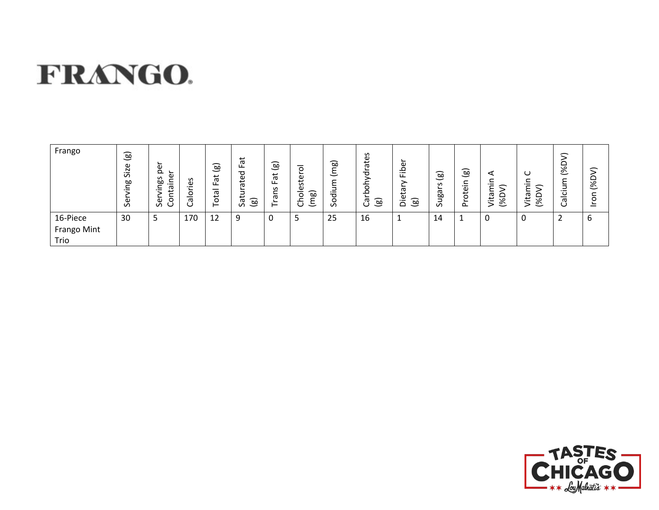## FRANGO.

| Frango                          | $\circledast$<br>Size<br>مع<br>ق<br>S | ∽<br>Φ<br>Φ<br>S<br>-<br>œ<br>∽<br>$\cdot$ $-$<br>ᡕᢐ<br>._<br>$\mathbf \omega$<br>$\sigma$<br>◡ | S<br>≅.<br>o<br>-<br>Ф | $\circledcirc$<br>$\vec{a}$<br>ட<br>otal<br>⊢ | پ<br>ō<br>ᅙ<br>Φ<br>پ<br>$\sigma$<br>-<br>. .<br>බ<br>ᡕᢐ<br>$\mathcal{L}$<br>ت | (මූ<br>đ<br>ட<br>$\sim$<br>–<br>∽<br>ъ<br>∽<br>⊢ | $\circ$<br>este<br>$\widehat{\mathsf{B}}$<br>–<br>o<br>-<br>ᅩ<br>≻<br>$\cup$<br>こ | (mg)<br>ε<br>.⊇<br>ರ<br>o<br>S | drates<br>둥<br>ڣ<br>$\circledcirc$<br>Б<br>Ő | ω<br>٩<br>$\cdot$ $-$<br>ப<br>᠊ᡴᠦ<br>ω<br>一<br>قع<br>._<br>≏ | $\circledcirc$<br>$\mathsf{v}$<br>∽<br>$\boldsymbol{\varpi}$<br>Θã<br>$\sigma$ | $\circledcirc$<br>᠆<br>≟.<br>$\omega$<br>ā<br>$\sim$ | ✓<br>∽<br>ᡕᢐ<br>یب<br>ঙ | ◡<br>._<br>≏<br>학<br>$\overline{\mathscr{E}}$ | 一<br>है<br>ഁ<br>–<br>᠊ᡴᠣ<br>ت | $\mathbf{r}$<br>(%D<br>⊂<br>$\circ$<br>؎ |
|---------------------------------|---------------------------------------|-------------------------------------------------------------------------------------------------|------------------------|-----------------------------------------------|--------------------------------------------------------------------------------|--------------------------------------------------|-----------------------------------------------------------------------------------|--------------------------------|----------------------------------------------|--------------------------------------------------------------|--------------------------------------------------------------------------------|------------------------------------------------------|-------------------------|-----------------------------------------------|-------------------------------|------------------------------------------|
| 16-Piece<br>Frango Mint<br>Trio | 30                                    | 5                                                                                               | 170                    | 12                                            | 9                                                                              | 0                                                |                                                                                   | 25                             | 16                                           |                                                              | 14                                                                             |                                                      | 0                       |                                               | _                             | ∽<br>ь                                   |

![](_page_5_Picture_2.jpeg)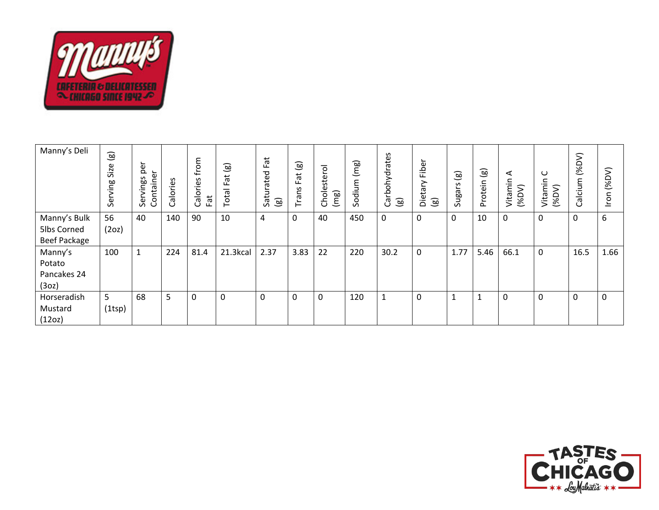![](_page_6_Picture_0.jpeg)

| Manny's Deli                              | $\circledB$<br>Size<br>Serving | per<br>Container<br>Servings | alories<br>ت | ε<br>$f_{\mathsf{FO}}$<br>S<br><u>نة.</u><br>alori<br>Fat<br>$\cup$ | $\circledB$<br>Fat<br>Total | Fat<br>Saturated<br>$\circledR$ | $\circledast$<br>$\vec{a}$<br>Щ.<br>Trans | ā<br>ste<br>نة<br>(mg)<br>Cho | ∽<br>(mg)<br>odium<br>Ō | Carbohydrates<br>$\circledB$ | ؎<br>Fibe<br>Dietary<br>$\textcircled{\scriptsize{s}}$ | ම<br><b>Clean</b><br>$\sim$ | $\textcircled{\scriptsize{s}}$<br>rotein<br>$\sim$ | ⋖<br>Vitamin<br>⋝<br>$($ %D | ပ<br>min<br>(96DV)<br>Vita | (96DV)<br>alcium<br>Ö | XDY.<br>$\subset$<br>ō |
|-------------------------------------------|--------------------------------|------------------------------|--------------|---------------------------------------------------------------------|-----------------------------|---------------------------------|-------------------------------------------|-------------------------------|-------------------------|------------------------------|--------------------------------------------------------|-----------------------------|----------------------------------------------------|-----------------------------|----------------------------|-----------------------|------------------------|
| Manny's Bulk<br>5lbs Corned               | 56                             | 40                           | 140          | 90                                                                  | 10                          | 4                               | $\Omega$                                  | 40                            | 450                     | $\mathbf 0$                  | $\Omega$                                               | 0                           | 10                                                 | 0                           | 0                          | 0                     | 6                      |
| <b>Beef Package</b>                       | (2oz)                          |                              |              |                                                                     |                             |                                 |                                           |                               |                         |                              |                                                        |                             |                                                    |                             |                            |                       |                        |
| Manny's<br>Potato<br>Pancakes 24<br>(3oz) | 100                            | $\mathbf{1}$                 | 224          | 81.4                                                                | 21.3kcal                    | 2.37                            | 3.83                                      | 22                            | 220                     | 30.2                         | $\mathbf{0}$                                           | 1.77                        | 5.46                                               | 66.1                        | 0                          | 16.5                  | 1.66                   |
| Horseradish<br>Mustard<br>(12oz)          | 5<br>(1 <sup>tsp</sup> )       | 68                           | 5            | 0                                                                   | 0                           | 0                               | 0                                         | $\mathbf 0$                   | 120                     | 1                            | 0                                                      | $\mathbf{1}$                | $\mathbf{1}$                                       | 0                           | $\mathbf 0$                | 0                     | $\mathbf 0$            |

![](_page_6_Picture_2.jpeg)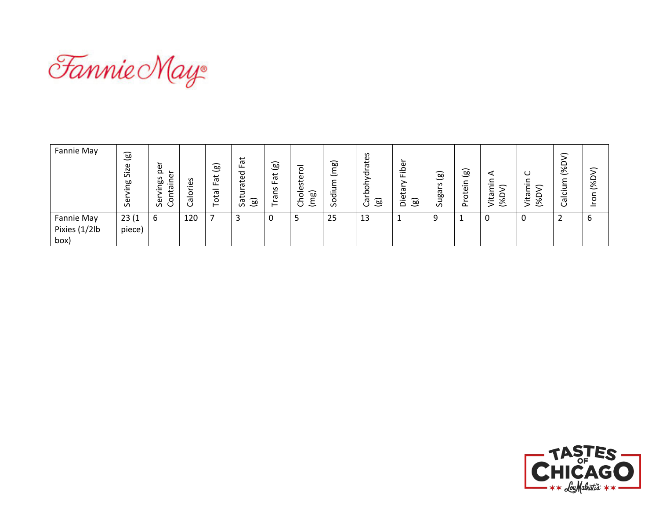![](_page_7_Picture_0.jpeg)

| Fannie May                                 | $\circledg$<br>Size<br>gui/<br>Šĕ | ∽<br>Φ<br>௨<br>Φ<br>S<br>-<br>œ<br>∸.<br>-<br>Ф<br>$\cdot$ $-$<br>$\circ$<br>Sei<br>ب | S<br>ω<br>$\cdot$ $-$<br>o<br>–<br>Ф<br>U | $\circledB$<br>$\vec{a}$<br>ட<br>–<br>ota<br>⊢ | ă<br>ட்<br>ರ<br>Φ<br>ਨ<br>っ<br>پ<br>$\circledB$<br>$\sigma$<br>$\mathcal{L}$ | ම<br>$\vec{a}$<br>ட<br>w<br>-<br>$\boldsymbol{\varpi}$<br>؎<br>⊢ | O<br>ste<br>Φ<br>$\widehat{\mathsf{B}}$<br>-<br>$\circ$<br>-<br>ᅩ<br>≻<br>こ<br>U | (mg)<br>릉<br>o<br>S | drates<br>≻<br>rboh <sup>.</sup><br>ලි<br>ම | ω<br>Q<br>讧<br>᠊ᢐ<br>Φ<br>ම<br>$\overline{\phantom{0}}$<br>$\Omega$ | (ම)<br>S<br>∽<br>Sugai | (මූ<br>∽<br>._<br>Φ<br>ਠੋ<br>൨ | ⋖<br>._<br>∽<br>≏<br>ᢐ<br>ت<br>$\overline{\mathscr{E}}$<br>_<br>2 | ت<br>._<br>∽<br>ezi.<br>┕<br>$\overline{\mathscr{E}}$<br>- | 一<br>∾<br>∾<br>$\check{ }$<br>._<br>-<br>᠊ᡴᠣ<br>◡ | 一<br>≏<br>ঙ্<br>$\circ$ |
|--------------------------------------------|-----------------------------------|---------------------------------------------------------------------------------------|-------------------------------------------|------------------------------------------------|------------------------------------------------------------------------------|------------------------------------------------------------------|----------------------------------------------------------------------------------|---------------------|---------------------------------------------|---------------------------------------------------------------------|------------------------|--------------------------------|-------------------------------------------------------------------|------------------------------------------------------------|---------------------------------------------------|-------------------------|
| <b>Fannie May</b><br>Pixies (1/2lb<br>box) | 23(1)<br>piece)                   | 6                                                                                     | 120                                       |                                                |                                                                              | υ                                                                |                                                                                  | 25                  | 13                                          |                                                                     | 9                      |                                | 0                                                                 |                                                            | ┑<br>∸                                            | ь                       |

![](_page_7_Picture_2.jpeg)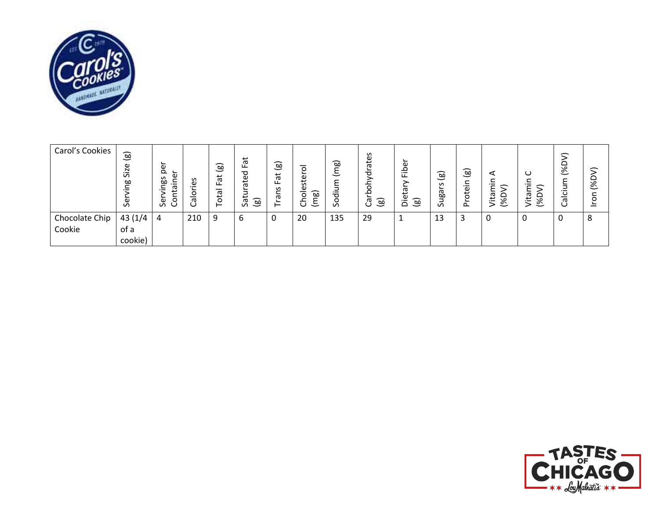![](_page_8_Picture_0.jpeg)

| Carol's Cookies | $\circledB$<br>Size<br>Ρg<br>မ္ဟ | Φ<br>$\Omega$<br>Φ<br>S<br>œ<br>.≐<br>ᢐ<br>o<br>9S<br>ت | S<br>Φ<br>._<br>o<br>᠊ᡴᠣ<br>ٮ | $\overline{g}$<br>$\vec{a}$<br>ட<br>–<br>ᡕᢐ<br>đ<br>⊢ | Fat<br>ated<br>ى<br>ි<br>ᢐ<br>$\sigma$ | (මූ<br>Fat<br>൧<br>∽<br>σ<br>⊢ | $\circ$<br>ster<br>Φ<br><b>ig</b><br>ە<br>≻<br>こ<br>ٮ | (mg)<br>dium<br>င္တ | S<br>்த<br>ത<br>ರ<br>ਠ<br>ء<br>$\circledg$<br>උ | ∽<br>Φ<br>ھ<br>تا<br>ይ<br>ይ<br>öë<br>$\textcircled{\scriptsize{s}}$ | (මූ<br>S<br>؎<br>ngan<br>$\mathcal{L}$ | (මූ<br>c<br>$-$<br>Φ<br>tō<br>௳ | $($ %D<br>εt<br>$\overline{\phantom{0}}$ | ပ<br>$\overline{\phantom{0}}$<br>∽<br>ᄂ<br>의<br>$\overline{\mathscr{E}}$<br>⋗ | $\overline{\phantom{1}}$<br>≏<br>ঙ্<br>د<br>$\cdot$ $-$<br>ഁ<br>–<br>ᡕᢐ<br>ں | ≂<br>(%D<br>$\circ$ |
|-----------------|----------------------------------|---------------------------------------------------------|-------------------------------|-------------------------------------------------------|----------------------------------------|--------------------------------|-------------------------------------------------------|---------------------|-------------------------------------------------|---------------------------------------------------------------------|----------------------------------------|---------------------------------|------------------------------------------|-------------------------------------------------------------------------------|------------------------------------------------------------------------------|---------------------|
| Chocolate Chip  | 43 (1/4                          | 4                                                       | 210                           | 9                                                     | 6                                      | ∩<br>υ                         | 20                                                    | 135                 | 29                                              | л.                                                                  | 13                                     |                                 |                                          | υ                                                                             | 0                                                                            | 8                   |
| Cookie          | of a                             |                                                         |                               |                                                       |                                        |                                |                                                       |                     |                                                 |                                                                     |                                        |                                 |                                          |                                                                               |                                                                              |                     |
|                 | cookie)                          |                                                         |                               |                                                       |                                        |                                |                                                       |                     |                                                 |                                                                     |                                        |                                 |                                          |                                                                               |                                                                              |                     |

![](_page_8_Picture_2.jpeg)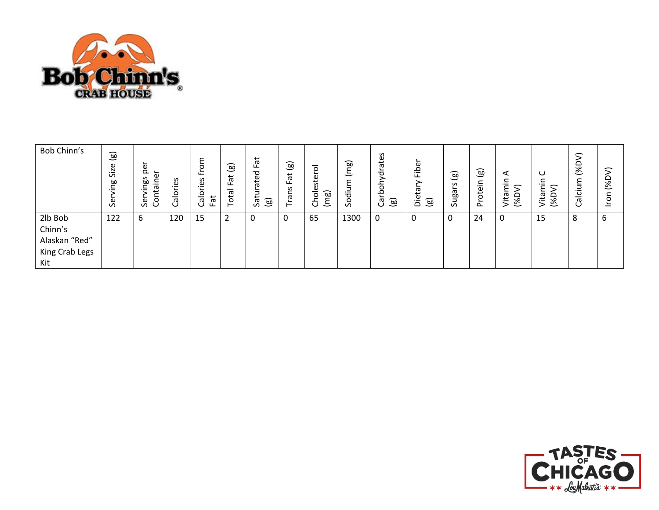![](_page_9_Picture_0.jpeg)

| Bob Chinn's                                                  | $\circledg$<br>Size<br>guin<br>ق<br>Se | ∽<br>e<br>Q<br>Φ<br>S<br>≘<br>စ္တ<br>Ф<br><br>Ë<br>Šēr<br>උ | ιes<br>alor<br>ت | ε<br>$\circ$<br>$\overline{\phantom{0}}$<br>$\mathsf{S}$<br>ω<br>._<br>흕<br>–<br>ලි | ಎ<br>ٮ<br>ä<br>ட<br>-<br>ota<br>⊢ | Fat<br>ated<br>Satura<br>$\circledg$ | $\textcircled{\scriptsize{s}}$<br>Fat<br>Trans | $\circ$<br>Cholester<br>(mg) | (mg)<br>ε<br>Sodiu | S<br>ate<br>ohydra<br>ء<br>(මූ<br>᠊ᢐ<br>ပ | ∽<br>Fibe<br>ξq<br>äë<br>$\circledcirc$ | $\textcircled{\scriptsize{1}}$<br>S<br>∽<br>ugai<br>$\sim$ | $\circledcirc$<br>rotein<br>$\sim$ | ⋖<br>$\tilde{\mathrm{min}}$<br>⋝<br>Vita<br>$($ %D | ပ<br>c<br>Ē<br>Vita<br>$\approx$ | $\subset$<br>≏<br>ঙ্<br>m<br>$\bar{\bar{\mathbf{c}}}$<br>᠊ᢐ<br>ပ | $\mathcal{L}$<br>(%D<br>δ |
|--------------------------------------------------------------|----------------------------------------|-------------------------------------------------------------|------------------|-------------------------------------------------------------------------------------|-----------------------------------|--------------------------------------|------------------------------------------------|------------------------------|--------------------|-------------------------------------------|-----------------------------------------|------------------------------------------------------------|------------------------------------|----------------------------------------------------|----------------------------------|------------------------------------------------------------------|---------------------------|
| 2lb Bob<br>Chinn's<br>Alaskan "Red"<br>King Crab Legs<br>Kit | 122                                    | 6                                                           | 120              | 15                                                                                  | $\overline{2}$                    | 0                                    | 0                                              | 65                           | 1300               | 0                                         | 0                                       | 0                                                          | 24                                 | 0                                                  | 15                               | 8                                                                | 6                         |

![](_page_9_Picture_2.jpeg)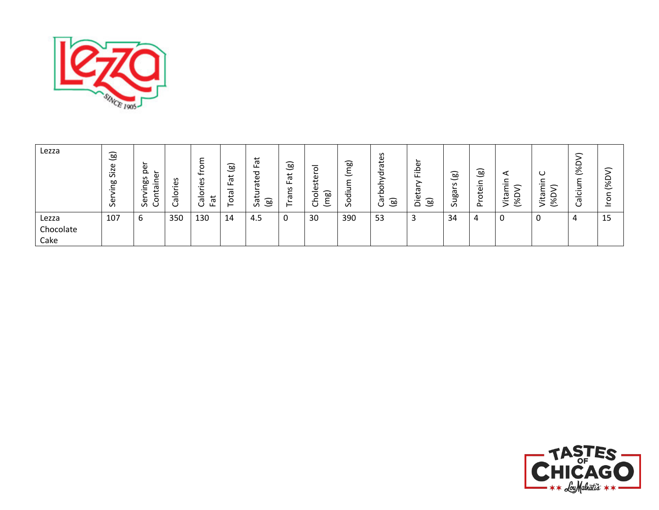![](_page_10_Picture_0.jpeg)

| Lezza                      | $\circledB$<br>Size<br>òо<br>∽<br>._<br>Ger | Φ<br>ه چ<br>S<br>-<br><b>bo</b><br>∸.<br>-<br>ω<br>._<br>ى<br>–<br>ō<br>o<br>ပ<br>ທ | w<br>ڡ.<br>o<br>–<br>Φ<br>ပ | O<br>$\overline{\phantom{0}}$<br>S<br>ω<br>$\overline{\phantom{0}}$<br>ᄫ<br>$\sigma$<br>ပ<br>ட | $\widehat{B}$<br>$\check{ }$<br>ä<br>ட<br>–<br>ᡕᢐ<br>ö | Fat<br>ত<br>ate<br>⊐<br>ب<br>ම<br>$\sigma$<br>vī | $\circledB$<br>Fat<br>ഗ്ഗ<br>ㅎ<br>ے<br>⊢ | –<br>$\circ$<br>este<br>–<br>ற<br>$\overline{a}$<br>ㅎ<br>≻<br>こ | බ<br>-<br>≻<br>┶<br>$\overline{\phantom{0}}$<br>≻<br>.=<br>$\overline{\sigma}$<br>$\sigma$ | S<br>ق<br>ω<br>ㅎ<br>⋋<br>둥<br>Q<br>(මූ<br>᠊ᢐ<br>ٮ | ∼<br>$\omega$<br>م<br>تا<br>ത<br>Φ<br>[ෂු<br>ة | ದಾ<br>ت<br>S<br>∽<br>œ<br>ے<br>S | (මූ<br>rotein<br>$\sim$ | ⊲<br>$\cdot$ $-$<br>↽<br>-<br>Ő,<br>eq.<br>∾<br>$\overline{\phantom{0}}$ | O<br>eq.<br>╾<br>ঙ্<br>∼<br>> | $\widehat{\phantom{a}}$<br>$\overline{\mathscr{E}}$<br>-<br>≻<br>؎<br>$\overline{\phantom{0}}$<br>ပ<br>-<br>᠊ᡴᠣ<br>U | $\subset$<br>$($ %D<br>∽<br>$\circ$ |
|----------------------------|---------------------------------------------|-------------------------------------------------------------------------------------|-----------------------------|------------------------------------------------------------------------------------------------|--------------------------------------------------------|--------------------------------------------------|------------------------------------------|-----------------------------------------------------------------|--------------------------------------------------------------------------------------------|---------------------------------------------------|------------------------------------------------|----------------------------------|-------------------------|--------------------------------------------------------------------------|-------------------------------|----------------------------------------------------------------------------------------------------------------------|-------------------------------------|
| Lezza<br>Chocolate<br>Cake | 107                                         | b                                                                                   | 350                         | 130                                                                                            | 14                                                     | 4.5                                              |                                          | 30                                                              | 390                                                                                        | 53                                                | د.                                             | 34                               | 4                       | 0                                                                        |                               | 4                                                                                                                    | 15                                  |

![](_page_10_Picture_2.jpeg)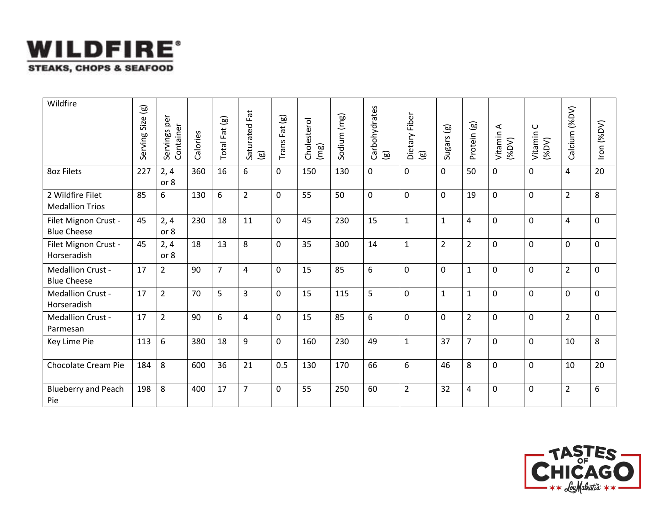![](_page_11_Picture_0.jpeg)

| Wildfire                                   | ම<br>Size<br>Serving | Servings per<br>Container | Calories | Total Fat (g)  | Fat<br>Saturated I<br>(g) | $\circledcirc$<br>Fat<br>Trans | Cholesterol<br>(mg) | Sodium (mg) | Carbohydrates<br>$\circledcirc$ | Dietary Fiber<br>$\circledB$ | $\circledg$<br>Sugars | Protein (g)    | $\prec$<br>Vitamin<br>(VdS) | $\mathsf{C}$<br>Vitamin<br>(96DV) | (96DV)<br>Calcium | Iron (%DV) |
|--------------------------------------------|----------------------|---------------------------|----------|----------------|---------------------------|--------------------------------|---------------------|-------------|---------------------------------|------------------------------|-----------------------|----------------|-----------------------------|-----------------------------------|-------------------|------------|
| 8oz Filets                                 | 227                  | 2, 4<br>or 8              | 360      | 16             | 6                         | $\mathbf 0$                    | 150                 | 130         | 0                               | 0                            | 0                     | 50             | $\mathbf 0$                 | $\mathbf 0$                       | $\overline{4}$    | 20         |
| 2 Wildfire Filet<br><b>Medallion Trios</b> | 85                   | 6                         | 130      | 6              | $\overline{2}$            | $\mathbf 0$                    | 55                  | 50          | $\mathbf 0$                     | $\mathbf 0$                  | 0                     | 19             | $\mathbf{0}$                | $\mathbf 0$                       | $\overline{2}$    | 8          |
| Filet Mignon Crust -<br><b>Blue Cheese</b> | 45                   | 2, 4<br>or 8              | 230      | 18             | 11                        | 0                              | 45                  | 230         | 15                              | $\mathbf{1}$                 | $\mathbf{1}$          | 4              | $\mathbf 0$                 | $\mathbf 0$                       | $\overline{4}$    | 0          |
| Filet Mignon Crust -<br>Horseradish        | 45                   | 2, 4<br>or 8              | 18       | 13             | 8                         | 0                              | 35                  | 300         | 14                              | $\mathbf{1}$                 | $\overline{2}$        | $\overline{2}$ | $\mathbf 0$                 | $\mathbf 0$                       | $\mathbf 0$       | 0          |
| Medallion Crust -<br><b>Blue Cheese</b>    | 17                   | $\overline{2}$            | 90       | $\overline{7}$ | $\overline{4}$            | $\mathbf 0$                    | 15                  | 85          | 6                               | $\mathbf 0$                  | 0                     | $\mathbf{1}$   | $\mathbf 0$                 | $\mathbf 0$                       | $\overline{2}$    | 0          |
| Medallion Crust -<br>Horseradish           | 17                   | $\overline{2}$            | 70       | 5              | 3                         | $\mathbf 0$                    | 15                  | 115         | 5                               | $\mathbf 0$                  | 1                     | $\mathbf{1}$   | $\mathbf 0$                 | $\Omega$                          | $\mathbf 0$       | 0          |
| Medallion Crust -<br>Parmesan              | 17                   | $\overline{2}$            | 90       | 6              | $\overline{4}$            | $\Omega$                       | 15                  | 85          | 6                               | $\mathbf{0}$                 | 0                     | $\overline{2}$ | $\Omega$                    | $\mathbf 0$                       | $\overline{2}$    | 0          |
| Key Lime Pie                               | 113                  | 6                         | 380      | 18             | 9                         | $\mathbf 0$                    | 160                 | 230         | 49                              | $\mathbf{1}$                 | 37                    | $\overline{7}$ | $\mathbf{0}$                | $\mathbf 0$                       | 10                | 8          |
| Chocolate Cream Pie                        | 184                  | 8                         | 600      | 36             | 21                        | 0.5                            | 130                 | 170         | 66                              | 6                            | 46                    | 8              | $\Omega$                    | $\mathbf 0$                       | 10                | 20         |
| <b>Blueberry and Peach</b><br>Pie          | 198                  | 8                         | 400      | 17             | $\overline{7}$            | 0                              | 55                  | 250         | 60                              | $\overline{2}$               | 32                    | 4              | 0                           | $\mathbf 0$                       | $\overline{2}$    | 6          |

![](_page_11_Picture_2.jpeg)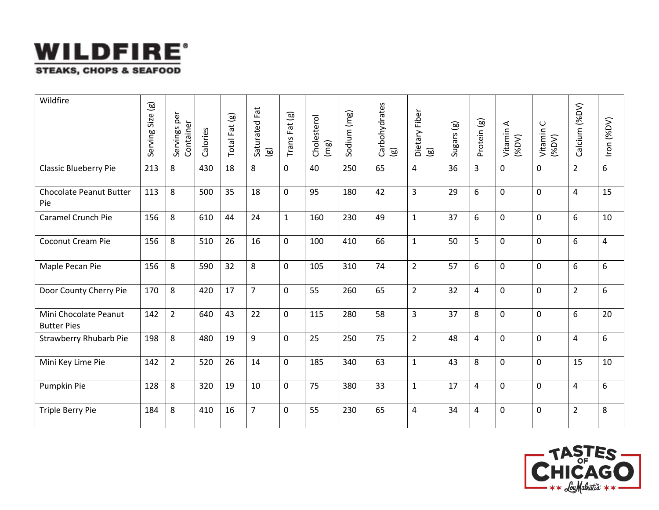![](_page_12_Picture_0.jpeg)

| Wildfire                                    | $\textcircled{\scriptsize{\textsf{so}}}$<br>Size<br>Serving | Servings per<br>Container | Calories | Fat (g)<br>Total <sup>1</sup> | Saturated Fat<br>$\textcircled{\scriptsize{1}}$ | $Trans$ Fat $(g)$ | Cholesterol<br>(mg) | Sodium (mg) | Carbohydrates<br>$\overline{\mathbf{g}}$ | Dietary Fiber<br>$\textcircled{\scriptsize{1}}$ | Sugars (g) | Protein (g)             | $\triangleleft$<br>Vitamin<br>(96DV) | $\cup$<br>Vitamin<br>$($ %DV) | Calcium (%DV)  | Iron (%DV) |
|---------------------------------------------|-------------------------------------------------------------|---------------------------|----------|-------------------------------|-------------------------------------------------|-------------------|---------------------|-------------|------------------------------------------|-------------------------------------------------|------------|-------------------------|--------------------------------------|-------------------------------|----------------|------------|
| <b>Classic Blueberry Pie</b>                | 213                                                         | 8                         | 430      | 18                            | 8                                               | $\mathbf 0$       | 40                  | 250         | 65                                       | $\overline{4}$                                  | 36         | 3                       | 0                                    | $\mathbf 0$                   | $\overline{2}$ | 6          |
| <b>Chocolate Peanut Butter</b><br>Pie       | 113                                                         | 8                         | 500      | 35                            | 18                                              | $\mathbf 0$       | 95                  | 180         | 42                                       | $\overline{3}$                                  | 29         | 6                       | 0                                    | $\mathbf 0$                   | 4              | 15         |
| Caramel Crunch Pie                          | 156                                                         | 8                         | 610      | 44                            | 24                                              | $\mathbf{1}$      | 160                 | 230         | 49                                       | $\mathbf{1}$                                    | 37         | 6                       | 0                                    | $\mathbf 0$                   | 6              | 10         |
| Coconut Cream Pie                           | 156                                                         | 8                         | 510      | 26                            | 16                                              | $\mathbf 0$       | 100                 | 410         | 66                                       | $\mathbf{1}$                                    | 50         | 5                       | 0                                    | $\mathbf 0$                   | 6              | 4          |
| Maple Pecan Pie                             | 156                                                         | 8                         | 590      | 32                            | 8                                               | $\mathbf 0$       | 105                 | 310         | 74                                       | $\overline{2}$                                  | 57         | 6                       | 0                                    | $\mathbf 0$                   | 6              | 6          |
| Door County Cherry Pie                      | 170                                                         | 8                         | 420      | 17                            | $\overline{7}$                                  | $\mathbf 0$       | 55                  | 260         | 65                                       | $\overline{2}$                                  | 32         | $\overline{\mathbf{4}}$ | 0                                    | $\mathbf 0$                   | $\overline{2}$ | 6          |
| Mini Chocolate Peanut<br><b>Butter Pies</b> | 142                                                         | $\overline{2}$            | 640      | 43                            | 22                                              | $\mathbf 0$       | 115                 | 280         | 58                                       | 3                                               | 37         | 8                       | 0                                    | $\mathbf 0$                   | 6              | 20         |
| <b>Strawberry Rhubarb Pie</b>               | 198                                                         | 8                         | 480      | 19                            | 9                                               | $\mathbf 0$       | 25                  | 250         | 75                                       | $\overline{2}$                                  | 48         | $\overline{4}$          | 0                                    | $\mathbf 0$                   | 4              | 6          |
| Mini Key Lime Pie                           | 142                                                         | $\overline{2}$            | 520      | 26                            | 14                                              | $\mathbf 0$       | 185                 | 340         | 63                                       | $\mathbf{1}$                                    | 43         | 8                       | 0                                    | $\mathbf 0$                   | 15             | 10         |
| Pumpkin Pie                                 | 128                                                         | 8                         | 320      | 19                            | 10                                              | $\mathbf 0$       | 75                  | 380         | 33                                       | $\mathbf{1}$                                    | 17         | $\overline{4}$          | 0                                    | $\mathbf 0$                   | 4              | 6          |
| Triple Berry Pie                            | 184                                                         | 8                         | 410      | 16                            | $\overline{7}$                                  | $\mathbf 0$       | 55                  | 230         | 65                                       | $\overline{4}$                                  | 34         | $\overline{4}$          | 0                                    | $\mathbf 0$                   | $\overline{2}$ | 8          |

![](_page_12_Picture_2.jpeg)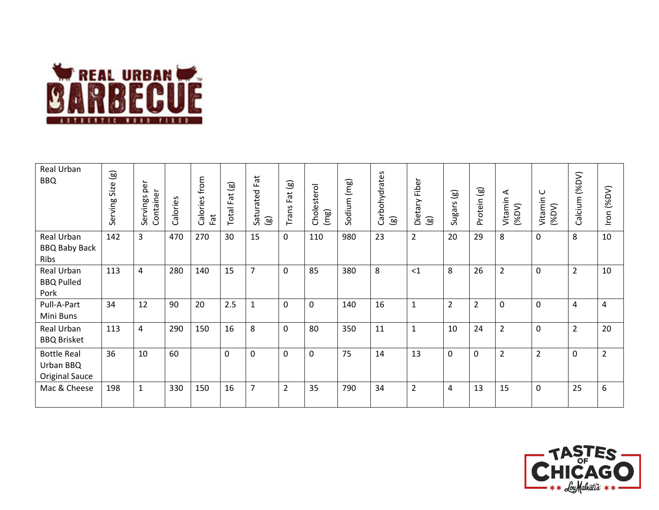![](_page_13_Picture_0.jpeg)

| Real Urban<br><b>BBQ</b>                          | $\widehat{\mathsf{B}}$<br>Size<br>Serving | Servings per<br>Container | Calories | from<br>Calories<br>Fat | $\overline{g}$<br>Fat<br>Total | Fat<br>Saturated<br>$\circledR$ | Fat (g)<br>Trans | Cholesterol<br>(mg) | Sodium (mg) | Carbohydrates<br>$\circledcirc$ | Fiber<br>Dietary I<br>$\textcircled{\scriptsize{s}}$ | $\circledg$<br>Sugars | Protein (g)    | ⋖<br>Vitamin<br>$($ %DV $)$ | Vitamin C<br>(%DV) | Calcium (%DV)  | Iron (%DV)     |
|---------------------------------------------------|-------------------------------------------|---------------------------|----------|-------------------------|--------------------------------|---------------------------------|------------------|---------------------|-------------|---------------------------------|------------------------------------------------------|-----------------------|----------------|-----------------------------|--------------------|----------------|----------------|
| Real Urban<br><b>BBQ Baby Back</b><br>Ribs        | 142                                       | 3                         | 470      | 270                     | 30                             | 15                              | $\mathbf 0$      | 110                 | 980         | 23                              | $\overline{2}$                                       | 20                    | 29             | 8                           | 0                  | 8              | 10             |
| Real Urban<br><b>BBQ Pulled</b><br>Pork           | 113                                       | 4                         | 280      | 140                     | 15                             | $\overline{7}$                  | $\mathbf 0$      | 85                  | 380         | 8                               | <1                                                   | 8                     | 26             | $\overline{2}$              | $\mathbf 0$        | $\overline{2}$ | 10             |
| Pull-A-Part<br>Mini Buns                          | 34                                        | 12                        | 90       | 20                      | 2.5                            | $\mathbf{1}$                    | $\mathbf 0$      | $\Omega$            | 140         | 16                              | $\mathbf{1}$                                         | $\overline{2}$        | $\overline{2}$ | 0                           | 0                  | $\overline{4}$ | $\overline{4}$ |
| Real Urban<br><b>BBQ Brisket</b>                  | 113                                       | 4                         | 290      | 150                     | 16                             | 8                               | $\mathbf 0$      | 80                  | 350         | 11                              | $\mathbf{1}$                                         | 10                    | 24             | $\overline{2}$              | 0                  | $\overline{2}$ | 20             |
| <b>Bottle Real</b><br>Urban BBQ<br>Original Sauce | 36                                        | 10                        | 60       |                         | $\mathbf 0$                    | 0                               | $\mathbf 0$      | $\Omega$            | 75          | 14                              | 13                                                   | $\mathbf 0$           | $\mathbf 0$    | $\overline{2}$              | $\overline{2}$     | $\mathbf 0$    | $\overline{2}$ |
| Mac & Cheese                                      | 198                                       | $\mathbf{1}$              | 330      | 150                     | 16                             | 7                               | $\overline{2}$   | 35                  | 790         | 34                              | $\overline{2}$                                       | $\overline{a}$        | 13             | 15                          | 0                  | 25             | 6              |

![](_page_13_Picture_2.jpeg)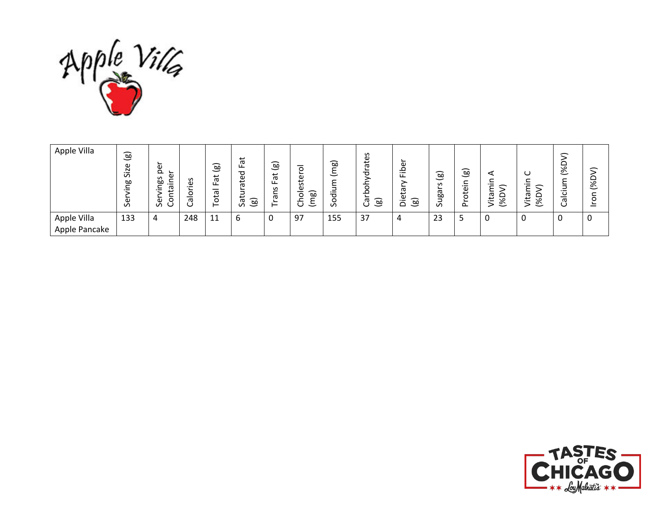![](_page_14_Picture_0.jpeg)

| Apple Villa                  | (ම<br>Size<br>œ<br>Φ<br>$\sigma$ | ω<br>Q<br>Φ<br>S<br>œ<br>∽<br>._<br>ᡴᠣ<br>o<br>Φ<br>S | w<br>Φ<br>._<br>∽<br>o<br>–<br>ω | $\circledg$<br>ಸ<br>ட<br>otal<br>⊢ | Fat<br>ᅙ<br>ق<br>$\sigma$<br>∽<br>-<br>t<br>(මූ<br>᠊ᢐ<br>S | $\circledg$<br>پ<br>ō<br>ட<br>S<br>-<br>σ<br>∽<br>- | $\circ$<br>Φ<br>S<br>Φ<br>ಎ<br>$\circ$<br>∸<br>~<br>こ<br>Ċ | බ<br>こ<br>ㅎ<br>o<br>$\mathcal{L}$ | S<br>ate<br>∽<br>ರ<br>O<br>∘<br>$\circledg$<br>ී | ∽<br>ة<br>_eo | $\circledg$<br>$\mathbf{v}$<br>∼<br>Ēд<br>۰<br>$\mathcal{L}$ | $\circledcirc$<br>∽<br>j<br>$\mathbf \omega$<br>븅<br>௨ | ᠆<br>ته<br>$\overline{\mathscr{E}}$<br>._ | ◡<br>᠆<br>ita<br>ᆸ<br>$\overline{\mathscr{E}}$ | 一<br>∾<br>∾<br>$\check{ }$<br>ത | 一<br>≏<br>$\aleph$<br>O |
|------------------------------|----------------------------------|-------------------------------------------------------|----------------------------------|------------------------------------|------------------------------------------------------------|-----------------------------------------------------|------------------------------------------------------------|-----------------------------------|--------------------------------------------------|---------------|--------------------------------------------------------------|--------------------------------------------------------|-------------------------------------------|------------------------------------------------|---------------------------------|-------------------------|
| Apple Villa<br>Apple Pancake | 133                              | 4                                                     | 248                              | 11                                 | 6                                                          | 0                                                   | 97                                                         | 155                               | 37                                               | 4             | 23                                                           |                                                        | 0                                         |                                                | 0                               | 0                       |

![](_page_14_Picture_2.jpeg)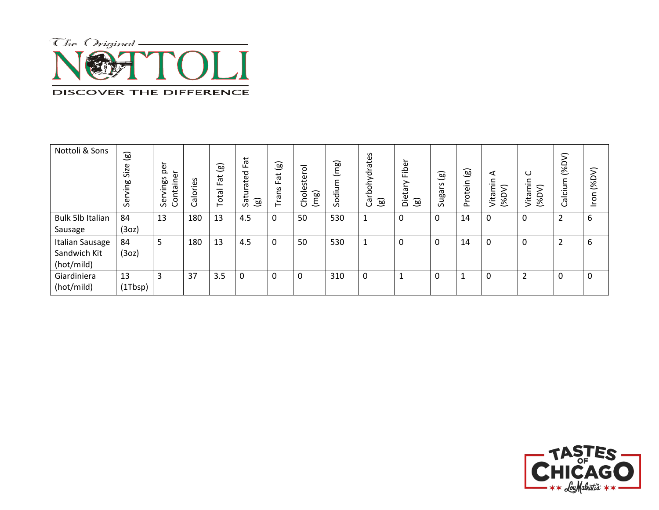![](_page_15_Picture_0.jpeg)

| Nottoli & Sons          | $\circledB$<br>Size<br>Serving | ∽<br>Ф<br>Ō<br>ontainer<br>vings<br>Ser | Calories | $\circledcirc$<br>ä<br>ட<br>-<br>ota<br>⊢ | Fat<br>urated<br>Satı<br>$\circledB$ | $\circledast$<br>Fat<br>S<br>Ë<br>Trai | –<br>sterol<br>نە<br>–<br>(mg)<br><b>Da</b> | (mg)<br>Sodium | $\mathsf{v}$<br>ate<br>ohydra<br>혼<br>$\circledB$<br>ී | Fiber<br>Dietar<br>$\circledB$ | $\circledcirc$<br>S<br>Sugars | $\textcircled{\scriptsize{s}}$<br>rotein<br>௳ | ⋖<br>min<br>$\mathcal{L}$<br>Vitai<br>$($ %D | ပ<br>c<br>έ<br>Vitai<br>$($ %D | $($ %D<br>alcium<br>ပ | ><br>$($ %D<br>nou |
|-------------------------|--------------------------------|-----------------------------------------|----------|-------------------------------------------|--------------------------------------|----------------------------------------|---------------------------------------------|----------------|--------------------------------------------------------|--------------------------------|-------------------------------|-----------------------------------------------|----------------------------------------------|--------------------------------|-----------------------|--------------------|
| <b>Bulk 5lb Italian</b> | 84                             | 13                                      | 180      | 13                                        | 4.5                                  | 0                                      | 50                                          | 530            | $\mathbf{1}$                                           | 0                              | 0                             | 14                                            | $\Omega$                                     | 0                              | $\overline{2}$        | 6                  |
| Sausage                 | (3oz)                          |                                         |          |                                           |                                      |                                        |                                             |                |                                                        |                                |                               |                                               |                                              |                                |                       |                    |
| <b>Italian Sausage</b>  | 84                             | 5                                       | 180      | 13                                        | 4.5                                  | 0                                      | 50                                          | 530            | $\mathbf{1}$                                           |                                | 0                             | 14                                            | 0                                            | 0                              | $\overline{2}$        | 6                  |
| Sandwich Kit            | (3oz)                          |                                         |          |                                           |                                      |                                        |                                             |                |                                                        |                                |                               |                                               |                                              |                                |                       |                    |
| (hot/mild)              |                                |                                         |          |                                           |                                      |                                        |                                             |                |                                                        |                                |                               |                                               |                                              |                                |                       |                    |
| Giardiniera             | 13                             | 3                                       | 37       | 3.5                                       | 0                                    | 0                                      | 0                                           | 310            | 0                                                      |                                | 0                             |                                               | 0                                            | ำ                              | 0                     | 0                  |
| (hot/mild)              | (1Tbsp)                        |                                         |          |                                           |                                      |                                        |                                             |                |                                                        |                                |                               |                                               |                                              |                                |                       |                    |

![](_page_15_Picture_2.jpeg)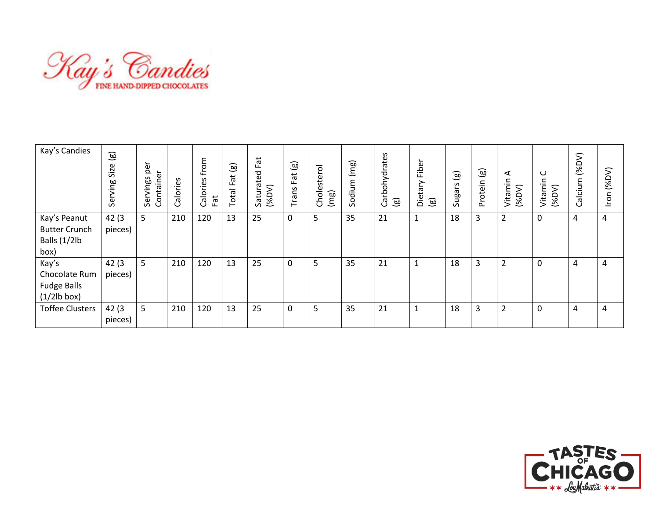![](_page_16_Picture_0.jpeg)

| Kay's Candies                                                 | $\circledg$<br>Size<br>Serving | per<br>ă<br>Servings<br>Contain | Calories | from<br>Calories<br>Fat | $\textcircled{\scriptsize{s}}$<br>ä<br>ட<br>otal<br>⊢ | Fat<br>Saturated<br>(96DV) | $\circledcirc$<br>ä<br>ட<br>Trans | Cholesterol<br>(mg) | (mg)<br>Sodium | Carbohydrates<br>$\circledB$ | Fiber<br>tary<br>Die<br>$\circledg$ | $\textcircled{\scriptsize{s}}$<br>Sugars | $\textcircled{\scriptsize{s}}$<br>rotein<br>$\Omega$ | ⋖<br>Vitamin<br>$($ %DV) | $\cup$<br>Vitamin<br>$($ %DV $)$ | (96DV)<br>alcium<br>Ő | (96DV)<br>mou |
|---------------------------------------------------------------|--------------------------------|---------------------------------|----------|-------------------------|-------------------------------------------------------|----------------------------|-----------------------------------|---------------------|----------------|------------------------------|-------------------------------------|------------------------------------------|------------------------------------------------------|--------------------------|----------------------------------|-----------------------|---------------|
| Kay's Peanut<br><b>Butter Crunch</b><br>Balls (1/2lb<br>box)  | 42(3)<br>pieces)               | 5                               | 210      | 120                     | 13                                                    | 25                         | 0                                 | 5                   | 35             | 21                           | $\mathbf{1}$                        | 18                                       | 3                                                    | $\overline{2}$           | 0                                | 4                     | 4             |
| Kay's<br>Chocolate Rum<br><b>Fudge Balls</b><br>$(1/2lb$ box) | 42(3)<br>pieces)               | 5                               | 210      | 120                     | 13                                                    | 25                         | 0                                 | 5                   | 35             | 21                           | $\mathbf{1}$                        | 18                                       | $\overline{3}$                                       | $\overline{2}$           | 0                                | 4                     | 4             |
| <b>Toffee Clusters</b>                                        | 42(3)<br>pieces)               | 5                               | 210      | 120                     | 13                                                    | 25                         | 0                                 | 5                   | 35             | 21                           | $\mathbf{1}$                        | 18                                       | 3                                                    | $\overline{2}$           | 0                                | 4                     | 4             |

![](_page_16_Picture_2.jpeg)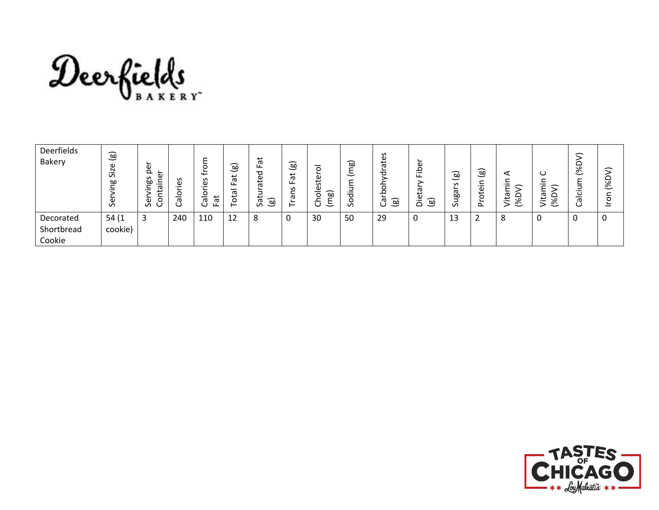![](_page_17_Picture_0.jpeg)

| Deerfields<br><b>Bakery</b> | ි<br>9zi<br>$\sigma$<br>ஹ்<br>ω<br>$\sigma$ | ∼<br>$\mathbf \omega$<br>Ō<br>Φ<br>S<br>ஹ்<br>┶<br>j<br>ᡴᠦ<br>∽<br>∽<br>رچ<br>Sei<br>0<br>◡ | Šθ.<br>–<br>ā<br>ت | ᡩ<br>S<br>Φ<br>$\overline{\phantom{0}}$<br>O<br>ಕ<br>ᅙ<br>ပ<br>ட | ∽<br><b>bo</b><br>─<br>ى<br>ō<br>ட<br>π<br>tö<br>⊢ | Fat<br>᠊ᠣ<br>ف‡<br>ō<br>پ<br>ම<br>$\sigma$<br>$\Omega$ | (මූ<br>$\vec{a}$<br>ட<br>S<br>-<br>Ф<br>⊢ | $\circ$<br>∽<br>5<br><b>َ</b><br>Φ<br>∽<br><b>bo</b><br>0<br>-<br>$\overline{\phantom{0}}$ | ಎ<br>≻<br>こ<br>-<br>≻<br>.≟<br>ರ<br>O<br>$\Omega$ | tes<br>$\sigma$<br>᠊ᠣ<br>-<br>ᄒ<br>q<br>(මු<br>᠊ᡴᠦ<br>ပ | <u>_</u><br>Φ<br>ء<br>$\cdot$ $-$<br>ட<br>᠊ᢐ<br>ω<br>$\circledB$<br>$\Omega$ | බ<br>$\overline{\phantom{0}}$<br>$\mathbf{v}$<br>ω<br>œ<br>-<br>$\Omega$ | (මූ<br>∽<br>$\cdot$ $-$<br>ote<br>$\sim$ | ⋖<br>$\overline{\phantom{0}}$<br>∽<br>ᡕᢐ<br>≏<br>≝<br>℅<br>$\overline{\phantom{0}}$ | ပ<br>∽<br>._<br>∽<br>᠊ᡴᠦ<br>یب<br>◡<br>∾<br>><br>◡ | 一<br>∟<br>∼∘<br>∾<br>$\check{ }$<br>-<br>._<br>ပ<br>–<br>᠊ᡴᠣ<br>U | ⇐<br>(%D)<br>∽<br>O<br>_ |
|-----------------------------|---------------------------------------------|---------------------------------------------------------------------------------------------|--------------------|------------------------------------------------------------------|----------------------------------------------------|--------------------------------------------------------|-------------------------------------------|--------------------------------------------------------------------------------------------|---------------------------------------------------|---------------------------------------------------------|------------------------------------------------------------------------------|--------------------------------------------------------------------------|------------------------------------------|-------------------------------------------------------------------------------------|----------------------------------------------------|-------------------------------------------------------------------|--------------------------|
| Decorated<br>Shortbread     | 54(1)<br>cookie)                            | 3                                                                                           | 240                | 110                                                              | 12                                                 | 8                                                      | 0                                         | 30                                                                                         | 50                                                | 29                                                      | $\mathbf 0$                                                                  | 13                                                                       |                                          | 8                                                                                   | u                                                  | 0                                                                 | 0                        |
| Cookie                      |                                             |                                                                                             |                    |                                                                  |                                                    |                                                        |                                           |                                                                                            |                                                   |                                                         |                                                                              |                                                                          |                                          |                                                                                     |                                                    |                                                                   |                          |

![](_page_17_Picture_2.jpeg)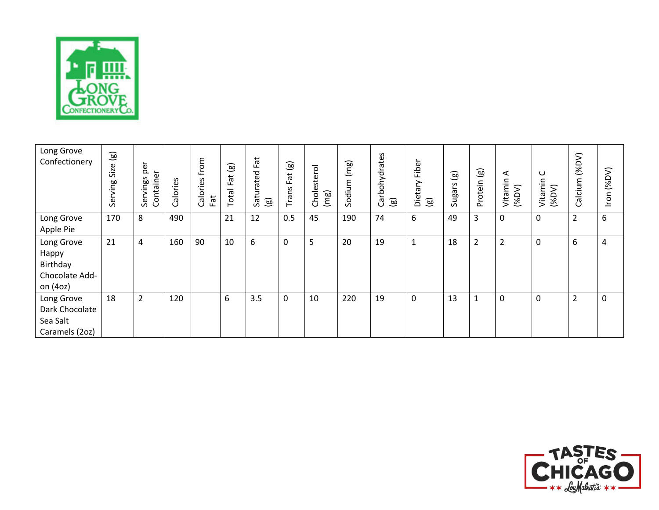![](_page_18_Picture_0.jpeg)

| Long Grove<br>Confectionery                                   | $\circledg$<br>Size<br>Serving | per<br>Container<br>Servings | Calories | from<br>$\mathsf{S}$<br>Calories<br>Fat | $\circledg$<br>$\vec{a}$<br>ட<br>Total | Fat<br>Saturated<br>$\textcircled{\scriptsize{1}}$ | $\textcircled{\scriptsize{s}}$<br><b>Trans Fat</b> | Cholesterol<br>(mg) | (mg)<br>Sodium | Carbohydrates<br>$\circledg$ | Fiber<br>Dietary<br>$\circledast$ | $\circledR$<br><b>Suestin</b><br>$\mathcal{L}$ | $\circledg$<br>Protein | $\blacktriangleleft$<br>Vitamin<br>(96DV) | $\cup$<br>Vitamin<br>(96DV) | (96DV)<br>alcium<br>$\cup$ | (96DV)<br>Iron |
|---------------------------------------------------------------|--------------------------------|------------------------------|----------|-----------------------------------------|----------------------------------------|----------------------------------------------------|----------------------------------------------------|---------------------|----------------|------------------------------|-----------------------------------|------------------------------------------------|------------------------|-------------------------------------------|-----------------------------|----------------------------|----------------|
| Long Grove<br>Apple Pie                                       | 170                            | 8                            | 490      |                                         | 21                                     | 12                                                 | 0.5                                                | 45                  | 190            | 74                           | 6                                 | 49                                             | 3                      | $\mathbf 0$                               | 0                           | $\overline{2}$             | 6              |
| Long Grove<br>Happy<br>Birthday<br>Chocolate Add-<br>on (4oz) | 21                             | 4                            | 160      | 90                                      | 10                                     | 6                                                  | 0                                                  | 5                   | 20             | 19                           | $\mathbf{1}$                      | 18                                             | $\overline{2}$         | $\overline{2}$                            | 0                           | 6                          | 4              |
| Long Grove<br>Dark Chocolate<br>Sea Salt<br>Caramels (2oz)    | 18                             | $\overline{2}$               | 120      |                                         | 6                                      | 3.5                                                | 0                                                  | 10                  | 220            | 19                           | 0                                 | 13                                             | 1                      | $\mathbf 0$                               | 0                           | $\overline{2}$             | $\mathbf 0$    |

![](_page_18_Picture_2.jpeg)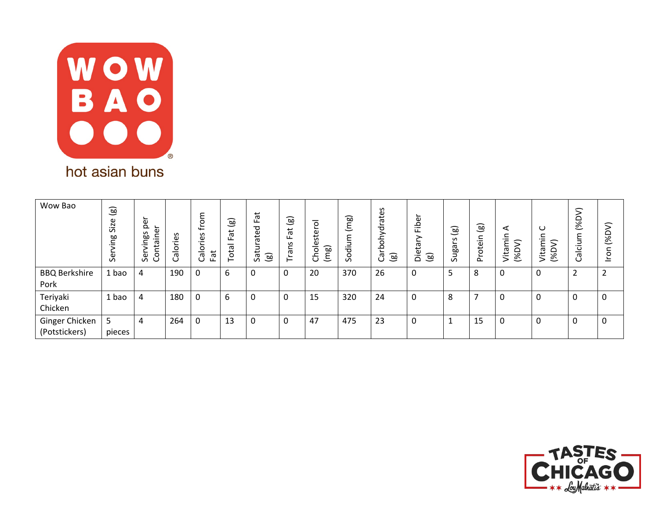![](_page_19_Picture_0.jpeg)

| Wow Bao                         | $\circledast$<br>jze<br>$\mathsf{S}$<br>Γg<br>ō<br>$\sigma$ | per<br>ے<br>Φ<br>S<br>으.<br>ဖွဲ<br>nta<br>≂<br>ہ<br>S<br>Ō | Calories | $\circ$<br>⋤<br>S<br>ω<br>O<br>Fat<br>ā<br>ပ | $\widehat{\mathbf{g}}$<br>ٮ<br>$\vec{a}$<br>ட<br>-<br>ota | Fat<br>ated<br>پ<br>$\textcircled{\scriptsize{s}}$<br>$\overline{\mathcal{S}}$ | $\circledast$<br>Fat<br>Trans | $\circ$<br>stei<br>Choles<br>(mg) | (mg)<br>ε<br>Ξ.<br>ರ<br>Ō<br>$\sim$ | S<br>ate<br>ohydra<br>≏<br>[ඔ<br>᠊ᡣᠣ<br>ပ | Fibe<br>εq<br>Die<br>$\circledcirc$ | $\textcircled{\scriptsize{1}}$<br>S<br>nga<br>S | $\circledcirc$<br>rotein<br>$\Omega$ | ⋖<br>c<br>$\cdot$ $-$<br>$\varsigma$<br>Ē<br>ezi.<br>Q% | ပ<br>Ē<br>Vita<br>ঙ | ς<br>۵<br>ঙ্<br>Ξ<br>コ<br>$\overline{\mathbf{c}}$<br>ᠬᠣ<br>ں | (96DV)<br>nou      |
|---------------------------------|-------------------------------------------------------------|------------------------------------------------------------|----------|----------------------------------------------|-----------------------------------------------------------|--------------------------------------------------------------------------------|-------------------------------|-----------------------------------|-------------------------------------|-------------------------------------------|-------------------------------------|-------------------------------------------------|--------------------------------------|---------------------------------------------------------|---------------------|--------------------------------------------------------------|--------------------|
| <b>BBQ Berkshire</b><br>Pork    | ⊥ bao                                                       | 4                                                          | 190      | 0                                            | 6                                                         | 0                                                                              | 0                             | 20                                | 370                                 | 26                                        | 0                                   | 5                                               | 8                                    | 0                                                       | 0                   | 2                                                            | $\mathcal{D}$<br>∠ |
| Teriyaki<br>Chicken             | 1 bao                                                       | 4                                                          | 180      | 0                                            | 6                                                         | 0                                                                              | 0                             | 15                                | 320                                 | 24                                        | 0                                   | 8                                               | ⇁                                    | 0                                                       | 0                   | 0                                                            | 0                  |
| Ginger Chicken<br>(Potstickers) | 5<br>pieces                                                 | 4                                                          | 264      | 0                                            | 13                                                        | 0                                                                              | 0                             | 47                                | 475                                 | 23                                        | 0                                   |                                                 | 15                                   | 0                                                       | 0                   | 0                                                            | $\mathbf 0$        |

![](_page_19_Picture_2.jpeg)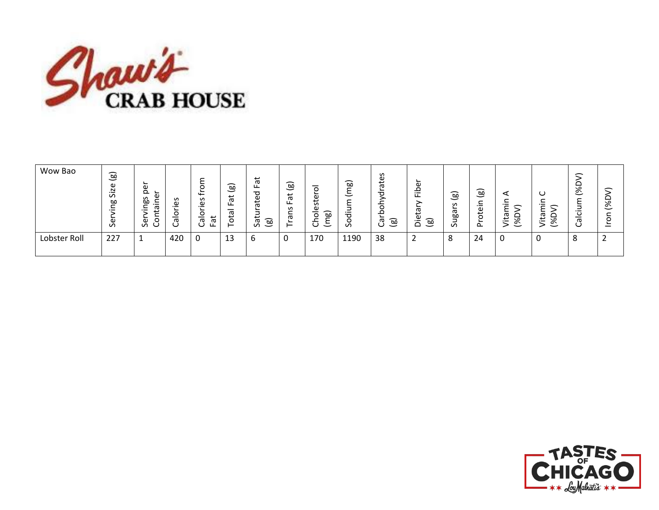![](_page_20_Picture_0.jpeg)

| Wow Bao      | (මූ<br>Φ<br>$\overline{z}$<br>$\sigma$<br>ஹ்<br>Φ<br>Ō | <b>1</b><br>ω<br>$\Omega$<br>Ψ<br>S<br>-<br>œ<br><b>_</b><br>ᡕᢐ<br>$\cdot$ $-$<br>Φ<br>ັ<br>ທ<br>ັ | S<br>Φ<br>$-$<br>0<br>-<br>Ф<br>ີ | -<br>$\circ$<br>∼<br>$\leftarrow$<br>S<br>ω<br>-<br>Ф<br>$\sigma$<br>ш.<br>Ċ | ක<br>─<br>↵<br>$\sigma$<br>ட<br>–<br>᠊ᢐ<br>ٮ<br>o<br>– | پ<br>$\sigma$<br>ட<br>್ಳಾ<br>ى<br>ō<br>-<br>ඹ<br>Sā | ම<br>Fat<br>S<br>ã<br>ᅩ<br>⊢ | _<br>Φ<br>ى<br>.<br>U<br>Φ<br>~<br>–<br>$\circ$<br>ೲ<br>-<br>-<br>ᅩ<br>≻<br>こ<br>U | ಹ<br>┶<br>$\check{ }$<br>$\overline{\phantom{0}}$<br>ರ<br>$\mathcal{L}$ | S<br>ate<br>∼<br>ರ<br>$\circ$<br>≏<br>ᠭᠣ<br>(මු<br>ပ | ω<br>운<br>᠊ᢐ<br>ىمە<br>ω<br>ම<br>$\Omega$ | g)<br>$\check{~}$<br>S<br>Ф<br>σō<br>$\mathcal{L}$ | ම<br>-<br>┶<br>oteil<br>∼<br>௳ | ◅<br>$\cdot$ $-$<br>_<br>≏<br>$\sigma$<br>ىم<br>۹o<br>$\ddot{\phantom{0}}$<br>∾ | ب<br>᠊ᡴᠦ<br>پ<br>۰o<br>._<br>ٮ | ∽<br>╰○<br>∾<br>$\check{ }$<br>._<br>ပ<br>–<br>ത<br>◡ | ∽<br>≏<br>ঙ<br>$\circ$<br>— |
|--------------|--------------------------------------------------------|----------------------------------------------------------------------------------------------------|-----------------------------------|------------------------------------------------------------------------------|--------------------------------------------------------|-----------------------------------------------------|------------------------------|------------------------------------------------------------------------------------|-------------------------------------------------------------------------|------------------------------------------------------|-------------------------------------------|----------------------------------------------------|--------------------------------|---------------------------------------------------------------------------------|--------------------------------|-------------------------------------------------------|-----------------------------|
| Lobster Roll | 227                                                    | -                                                                                                  | 420                               | 0                                                                            | 13                                                     | b                                                   |                              | 170                                                                                | 1190                                                                    | 38                                                   | -                                         | 8                                                  | 24                             | 0                                                                               |                                | 8                                                     |                             |

![](_page_20_Picture_2.jpeg)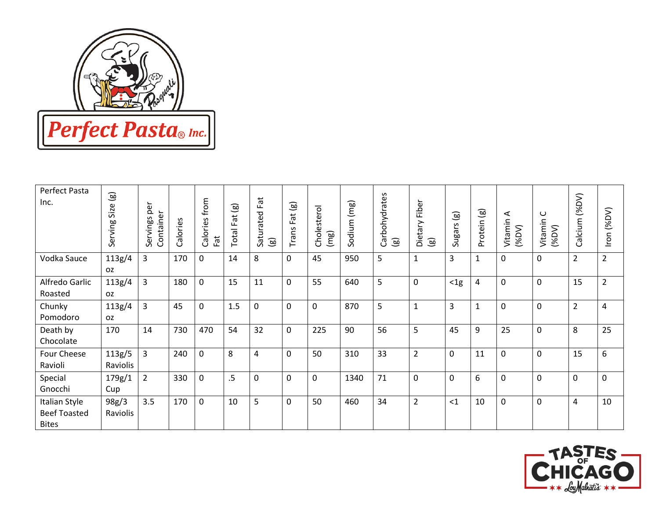![](_page_21_Picture_0.jpeg)

| Perfect Pasta<br>Inc.                                | $\circledcirc$<br>Size<br>Serving | per<br>Container<br>Servings | Calories | from<br>Calories<br>Fat | $\circledg$<br>Fat<br>Total | Fat<br>Saturated<br>$\circledg$ | $\circledg$<br>Fat<br>Trans | Cholesterol<br>(mg) | Sodium (mg) | Carbohydrates<br>$\textcircled{\scriptsize{\textsf{so}}}$ | Fiber<br>Dietary<br>$\circledcirc$ | $\circledg$<br>Sugars | $\circledg$<br>Protein | ⋖<br>Vitamin<br>$($ %DV $)$ | $\cup$<br>Vitamin<br>(96DV) | (96DV)<br>alcium<br>$\cup$ | Iron (%DV)     |
|------------------------------------------------------|-----------------------------------|------------------------------|----------|-------------------------|-----------------------------|---------------------------------|-----------------------------|---------------------|-------------|-----------------------------------------------------------|------------------------------------|-----------------------|------------------------|-----------------------------|-----------------------------|----------------------------|----------------|
| Vodka Sauce                                          | 113g/4<br><b>OZ</b>               | 3                            | 170      | 0                       | 14                          | 8                               | 0                           | 45                  | 950         | 5                                                         | $\mathbf 1$                        | 3                     | $\mathbf{1}$           | $\mathbf 0$                 | $\mathbf 0$                 | $\overline{2}$             | $\overline{2}$ |
| Alfredo Garlic<br>Roasted                            | 113g/4<br>OZ.                     | 3                            | 180      | 0                       | 15                          | 11                              | 0                           | 55                  | 640         | 5                                                         | $\pmb{0}$                          | $<$ 1g                | $\overline{a}$         | $\mathbf 0$                 | $\mathbf 0$                 | 15                         | $\overline{2}$ |
| Chunky<br>Pomodoro                                   | 113g/4<br><b>OZ</b>               | $\overline{3}$               | 45       | 0                       | 1.5                         | $\overline{0}$                  | 0                           | $\mathbf 0$         | 870         | 5                                                         | $\mathbf{1}$                       | 3                     | $\mathbf{1}$           | $\mathbf 0$                 | $\mathbf 0$                 | $\overline{2}$             | 4              |
| Death by<br>Chocolate                                | 170                               | 14                           | 730      | 470                     | 54                          | 32                              | 0                           | 225                 | 90          | 56                                                        | 5                                  | 45                    | 9                      | 25                          | $\mathbf 0$                 | 8                          | 25             |
| Four Cheese<br>Ravioli                               | 113g/5<br>Raviolis                | 3                            | 240      | 0                       | 8                           | 4                               | 0                           | 50                  | 310         | 33                                                        | $\overline{2}$                     | $\mathbf 0$           | 11                     | $\mathbf 0$                 | $\mathbf 0$                 | 15                         | 6              |
| Special<br>Gnocchi                                   | 179g/1<br>Cup                     | $\overline{2}$               | 330      | 0                       | $.5\,$                      | 0                               | 0                           | $\mathbf 0$         | 1340        | 71                                                        | $\pmb{0}$                          | $\mathbf 0$           | 6                      | $\mathbf 0$                 | $\mathbf 0$                 | 0                          | 0              |
| Italian Style<br><b>Beef Toasted</b><br><b>Bites</b> | 98g/3<br>Raviolis                 | 3.5                          | 170      | 0                       | 10                          | 5                               | 0                           | 50                  | 460         | 34                                                        | $\overline{2}$                     | <1                    | 10                     | $\mathbf 0$                 | $\mathbf 0$                 | 4                          | 10             |

![](_page_21_Picture_2.jpeg)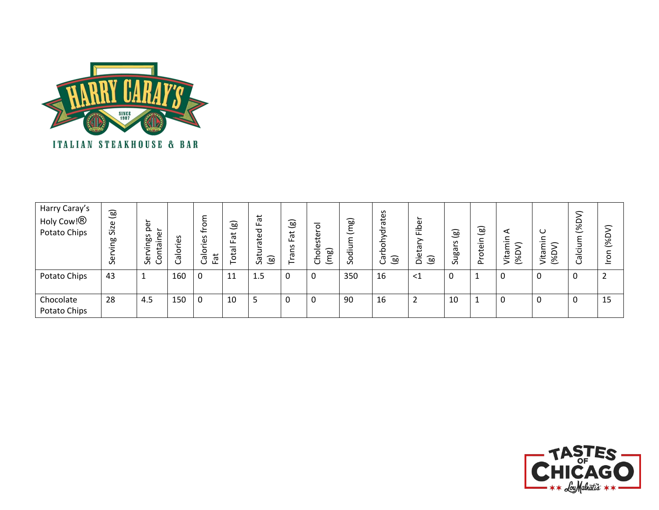![](_page_22_Picture_0.jpeg)

| Harry Caray's<br>Holy Cow! <sup>®</sup><br>Potato Chips | $\textcircled{\scriptsize{s}}$<br>Size<br>Ρã<br>رچ<br>Sei | Φ<br>$\Delta$<br>g<br>Sa<br>j<br>-<br>$\overline{\phantom{0}}$<br>رچ<br>و<br>o | <u>ës</u><br><u>히</u><br>ලි | ⊆<br>o<br>ٹ<br>S<br>.உ<br>o<br>ä<br>آق<br>ட | $\widehat{\mathsf{B}}$<br>∽<br>پ<br>$\sigma$<br>ட<br>_<br>ā<br>پ<br>Ö | <b>Fat</b><br>ᅙ<br>ate<br>っ<br>Sat<br>ම | $\textcircled{\scriptsize{s}}$<br>Fat<br>ans<br>⊢ | –<br>$\circ$<br>ے<br>ste<br>نة<br>බ<br>–<br>$\circ$<br>᠆<br>ᄂ<br>ٮ | (mg)<br>$\ddot{\vec{a}}$<br>$\circ$<br>Ū | ates<br>ğ<br>둥<br>م۔<br>(මූ<br>œ<br>ပ | ∽<br>Φ<br>Q<br>讧<br>ത<br>∸<br>ω<br>[ෂ<br>$\cdot$ $-$<br>$\Omega$ | ಎ<br>S<br>ngan<br>$\Omega$ | ම<br>르.<br>ote<br>$\Omega$ | ⋖<br>≘.<br>∽<br>Q%<br>ezi.<br>$\overline{\phantom{0}}$ | $\cup$<br>._<br>Ξ<br>Vita<br>% | 一<br>$\overline{\mathscr{E}}$<br>ഁ<br>_<br>ത<br>ပ | ≎<br>Q%<br>$\overline{\phantom{0}}$<br>∽<br>$\circ$ |
|---------------------------------------------------------|-----------------------------------------------------------|--------------------------------------------------------------------------------|-----------------------------|---------------------------------------------|-----------------------------------------------------------------------|-----------------------------------------|---------------------------------------------------|--------------------------------------------------------------------|------------------------------------------|---------------------------------------|------------------------------------------------------------------|----------------------------|----------------------------|--------------------------------------------------------|--------------------------------|---------------------------------------------------|-----------------------------------------------------|
| Potato Chips                                            | 43                                                        |                                                                                | 160                         | 0                                           | 11                                                                    | 1.5                                     |                                                   |                                                                    | 350                                      | 16                                    | $\leq$ 1                                                         | $\sim$                     |                            |                                                        | 0                              | 0                                                 | າ<br>∠                                              |
| Chocolate<br>Potato Chips                               | 28                                                        | 4.5                                                                            | 150                         | 0                                           | 10                                                                    | 5                                       |                                                   |                                                                    | 90                                       | 16                                    | $\overline{2}$                                                   | 10                         |                            | $\Omega$                                               | 0                              | 0                                                 | 15                                                  |

![](_page_22_Picture_2.jpeg)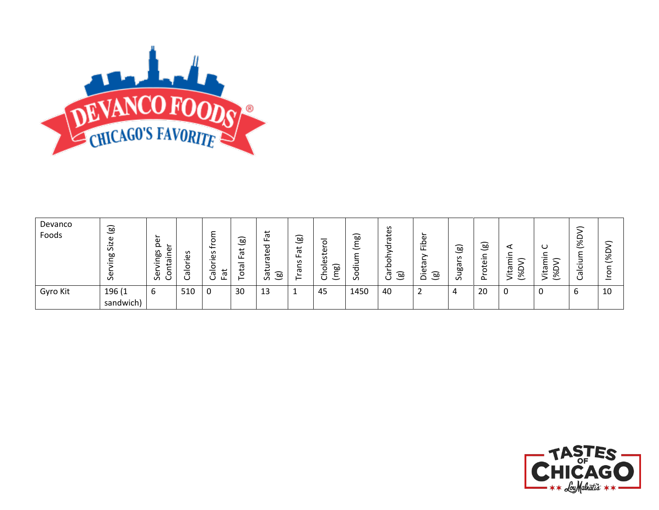![](_page_23_Picture_0.jpeg)

| Devanco<br>Foods | මු<br>ω<br>N<br>$\overline{\phantom{0}}$<br>$\mathcal{L}$<br>œ<br>ω<br>$\sim$ | ∽<br>ω<br>௨<br>∼<br>Φ<br>S<br>-<br><b>bo</b><br>.≐<br>-<br>ᡕᢐ<br>._<br>₽<br>$\circ$<br>$\mathbf \omega$<br>ပ<br>$\sigma$ | S<br>ω<br>$\overline{\phantom{0}}$<br>c<br>᠊ᡴᠣ | -<br>≻<br>∽<br>$\circ$<br>≑<br>S<br>$\mathbf \omega$<br>._<br>o<br>–<br>ᄫ<br>σ<br><b>سا</b><br>◡ | $\circledast$<br>$\vec{a}$<br>ட<br>E,<br>$\circ$<br>- | ∸<br>᠊ᢐ<br>ட<br>ರ<br>Φ<br>ى<br>œ<br>ى<br>ම<br>$\sigma$<br>Ű | $\widehat{B}$<br>ٮ<br>پ<br>$\sigma$<br>ட<br>S<br>ー | $\mathbf{v}$<br>ω<br>~<br>$\omega$<br>◡ | ಷ<br>∽<br>$\overline{\phantom{0}}$<br>._<br>⇁<br>$\Omega$ | S<br>م.<br>ത<br>ರ<br>o<br>ම<br>ᡴᠣ<br>∽ | Φ<br>讧<br>ᡕᢐ<br>ි<br>._<br>$\Omega$ | ි<br>S<br>∽<br>ъ<br>٥о<br>$\overline{\phantom{0}}$<br>؎<br>$\mathcal{L}$ | බ<br>─<br>∽<br>$\overline{\phantom{0}}$<br>Φ<br>ى<br>Č<br>∽<br>௨ | ⋖<br>-<br>᠆<br>ᡕᢐ<br>پ<br>._<br>౨<br>-2 | Ő<br>∽<br>ᡕᢐ<br>پ<br>۸c<br>._<br>∾<br>$\overline{\phantom{0}}$ | $\overline{\phantom{0}}$<br>۹o<br>∾<br>$\overline{\phantom{0}}$<br>$\overline{\phantom{0}}$<br>ပ<br>U | ∽<br>≏<br>है<br>O<br>— |
|------------------|-------------------------------------------------------------------------------|--------------------------------------------------------------------------------------------------------------------------|------------------------------------------------|--------------------------------------------------------------------------------------------------|-------------------------------------------------------|-------------------------------------------------------------|----------------------------------------------------|-----------------------------------------|-----------------------------------------------------------|----------------------------------------|-------------------------------------|--------------------------------------------------------------------------|------------------------------------------------------------------|-----------------------------------------|----------------------------------------------------------------|-------------------------------------------------------------------------------------------------------|------------------------|
| Gyro Kit         | 196 (1<br>sandwich)                                                           | ь                                                                                                                        | 510                                            | 0                                                                                                | 30                                                    | 13                                                          |                                                    | 45                                      | 1450                                                      | 40                                     |                                     | 4                                                                        | 20                                                               | 0                                       |                                                                | ь                                                                                                     | 10                     |

![](_page_23_Picture_2.jpeg)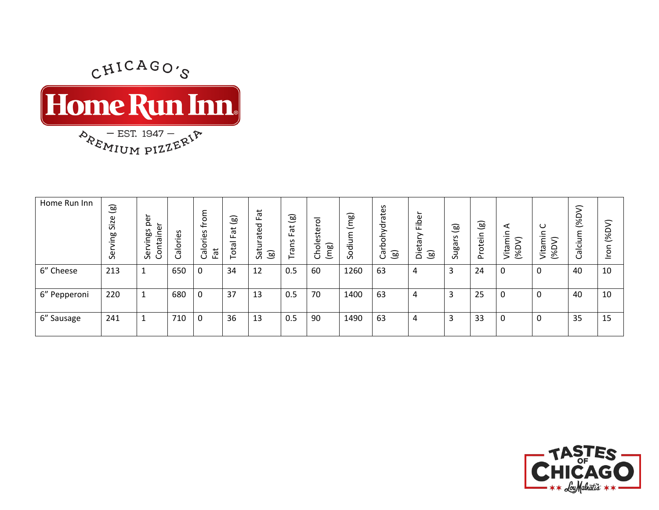$$
\text{Time} \lim_{\text{P}_{R_{\text{F}_{\text{M}_{\text{U}_{\text{M}}}}\text{PIZ}}}\text{F}_{\text{F}_{\text{M}_{\text{U}_{\text{M}}}\text{PIZ}}}\left[\text{F}_{\text{F}_{\text{M}_{\text{U}_{\text{M}}}\text{PIZ}}\text{F}_{\text{F}_{\text{M}_{\text{U}_{\text{M}}}}}\right]
$$

| Home Run Inn | $\circledB$<br>Size<br>ဗူ<br>ق<br>و | ∽<br>e.<br>Φ<br>Sal<br>ᡴᠦ<br>$-$<br>Šĕĭ<br>o | Calories | ε<br>$\circ$<br>≑<br>S<br>.உ<br>Calor<br>Fat | $\circledB$<br>پ<br>$\sigma$<br>ᡕᢐ<br>tö<br>⊢ | Fat<br>ated<br>Satu<br>ම | ම<br>Fat<br>č<br>ത<br>⊢ | –<br>$\circ$<br>؎<br>Ф<br>⊷<br>ίn.<br>ω<br>ಎ<br>$\circ$<br>Ξ<br>රි | (mg)<br>Sodium | tohydrates<br>ම<br>Б<br>Ő | ∽<br>Fibe<br>Б<br>ت<br>ää<br>$\circledB$ | $\widehat{\mathbf{g}}$<br>S<br>eg<br>$\sim$ | $\circledcirc$<br>otein<br>ᅩ<br>$\sim$ | ⋖<br>c<br>$\cdot$ $-$<br>$\mathcal{L}$<br>Vitami<br>(%D | $\cup$<br>⊂<br>$\cdot$ $-$<br>ε<br>Vita<br>$\overline{\mathscr{E}}$ | 一<br>≏<br>$\overline{\mathscr{E}}$<br>ε<br>コ<br>iol<br>Ri | (96DV)<br>$\mathbf{C}$<br>$\overline{5}$ |
|--------------|-------------------------------------|----------------------------------------------|----------|----------------------------------------------|-----------------------------------------------|--------------------------|-------------------------|--------------------------------------------------------------------|----------------|---------------------------|------------------------------------------|---------------------------------------------|----------------------------------------|---------------------------------------------------------|---------------------------------------------------------------------|-----------------------------------------------------------|------------------------------------------|
| 6" Cheese    | 213                                 |                                              | 650      | 0                                            | 34                                            | 12                       | 0.5                     | 60                                                                 | 1260           | 63                        | 4                                        | 3                                           | 24                                     | 0                                                       | 0                                                                   | 40                                                        | 10                                       |
| 6" Pepperoni | 220                                 |                                              | 680      | 0                                            | 37                                            | 13                       | 0.5                     | 70                                                                 | 1400           | 63                        | 4                                        | 3                                           | 25                                     | 0                                                       | 0                                                                   | 40                                                        | 10                                       |
| 6" Sausage   | 241                                 |                                              | 710      | 0                                            | 36                                            | 13                       | 0.5                     | 90                                                                 | 1490           | 63                        | 4                                        | 3                                           | 33                                     | 0                                                       | 0                                                                   | 35                                                        | 15                                       |

![](_page_24_Picture_2.jpeg)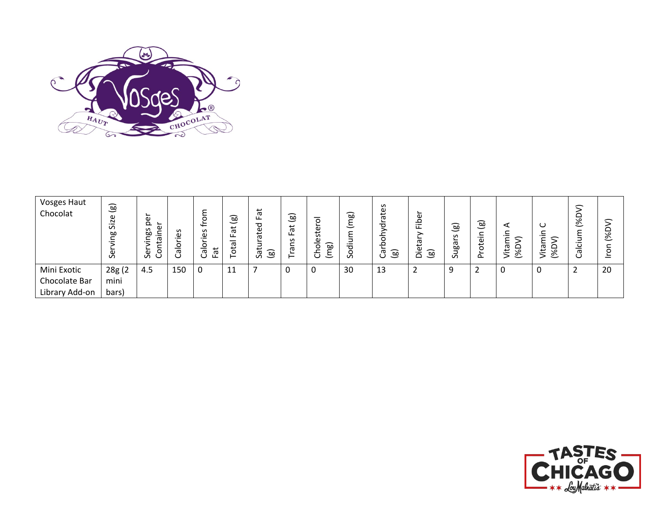![](_page_25_Picture_0.jpeg)

| Vosges Haut<br>Chocolat | ම<br>Size<br>ஹ்<br>မိ | ē<br>௨<br>S<br>œ<br>ro.<br>j<br>မိ<br>◡ | 39<br>._<br>$\circ$<br>–<br>᠊ᡴᠣ<br>ت | $\overline{\phantom{0}}$<br>S<br>Φ<br>$\cdot$ $-$<br>o<br>쳢<br>—<br>᠊ᡴᠣ<br>U | ಹ<br>پ<br>$\sigma$<br>ட<br>᠊ᡴᠣ<br>đ | Fat<br>ত<br>ate<br>Satur<br>(මූ | ම<br>Fat<br>S<br>ത<br>⊢ | ᅙ<br>∽<br>Φ<br>€<br>Φ<br>ಎ<br>0<br>-<br>◡<br>$\check{ }$ | බ<br>$\tilde{\epsilon}$<br>٤<br>diu<br>Š | စိ<br>ㅎ<br>ರ<br>$\circ$<br>ء<br>ි<br>ᡕᢐ<br>ပ | ω<br>م<br>证<br>(මූ<br>$\Omega$ | [හු<br>S<br>සි<br>ے<br>$\sigma$ | ම<br>∽<br>$\overline{\phantom{0}}$<br>$\mathfrak{p}$<br>$\circ$<br>௨ | ⋖<br>$\overline{\phantom{0}}$<br>≻<br>᠊ᢆ<br>0%)<br>e | O<br>Vita<br>౾ | $\widehat{\phantom{a}}$<br>$\overline{\mathscr{E}}$<br>–<br>U | ∽<br>≏<br>৯ৎ<br>$\overline{\phantom{0}}$ |
|-------------------------|-----------------------|-----------------------------------------|--------------------------------------|------------------------------------------------------------------------------|-------------------------------------|---------------------------------|-------------------------|----------------------------------------------------------|------------------------------------------|----------------------------------------------|--------------------------------|---------------------------------|----------------------------------------------------------------------|------------------------------------------------------|----------------|---------------------------------------------------------------|------------------------------------------|
| Mini Exotic             | 28g (2                | 4.5                                     | 150                                  | 0                                                                            | 11                                  |                                 | u                       | υ                                                        | 30                                       | 13                                           | $\overline{2}$                 | -9                              |                                                                      |                                                      | 0              | ∽<br>∸                                                        | 20                                       |
| Chocolate Bar           | mini                  |                                         |                                      |                                                                              |                                     |                                 |                         |                                                          |                                          |                                              |                                |                                 |                                                                      |                                                      |                |                                                               |                                          |
| Library Add-on          | bars)                 |                                         |                                      |                                                                              |                                     |                                 |                         |                                                          |                                          |                                              |                                |                                 |                                                                      |                                                      |                |                                                               |                                          |

![](_page_25_Picture_2.jpeg)